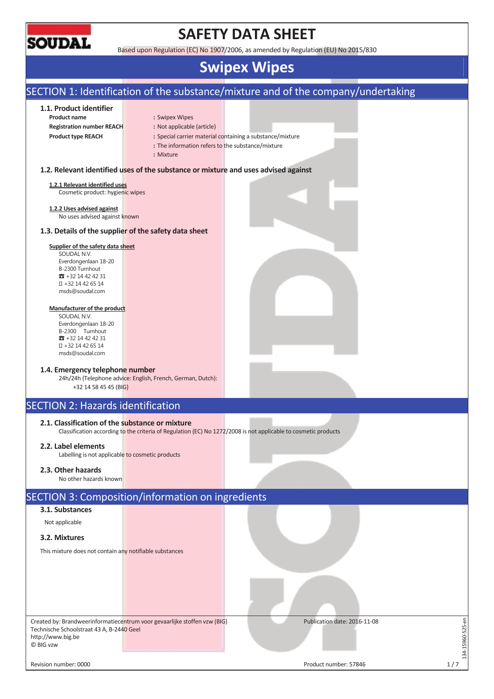

# **SAFETY DATA SHEET**

Based upon Regulation (EC) No 1907/2006, as amended by Regulation (EU) No 2015/830

# **Swipex Wipes**

# SECTION 1: Identification of the substance/mixture and of the company/undertaking

## **1.1. Product identifier**

- **Product name** : Swipex Wipes
- **Registration number REACH :** Not applicable (article)
- **Product type REACH :** Special carrier material containing a substance/mixture
	- **:** The information refers to the substance/mixture
	- **:** Mixture

### **1.2. Relevant identified uses of the substance or mixture and uses advised against**

#### **1.2.1 Relevant identified uses**

Cosmetic product: hygienic wipes

#### **1.2.2 Uses advised against**  No uses advised against known

# **1.3. Details of the supplier of the safety data sheet**

#### **Supplier of the safety data sheet**

SOUDAL N.V. Everdongenlaan 18-20 B-2300 Turnhout  $R + 3214424231$  +32 14 42 65 14 msds@soudal.com

#### **Manufacturer of the product**

SOUDAL N.V. Everdongenlaan 18-20 B-2300 Turnhout  $\overline{3}$  +32 14 42 42 31 +32 14 42 65 14 msds@soudal.com

#### **1.4. Emergency telephone number**

24h/24h (Telephone advice: English, French, German, Dutch): +32 14 58 45 45 (BIG)

# SECTION 2: Hazards identification

## **2.1. Classification of the substance or mixture**

Classification according to the criteria of Regulation (EC) No 1272/2008 is not applicable to cosmetic products

## **2.2. Label elements**

Labelling is not applicable to cosmetic products

## **2.3. Other hazards**

No other hazards known

# SECTION 3: Composition/information on ingredients

# **3.1. Substances**

Not applicable

**3.2. Mixtures** 

This mixture does not contain any notifiable substances

Created by: Brandweerinformatiecentrum voor gevaarlijke stoffen vzw (BIG) Technische Schoolstraat 43 A, B-2440 Geel http://www.big.be © BIG vzw

Publication date: 2016-11-08

Revision number: 0000 Product number: 57846 Product number: 57846 Product number: 57846

134-15960-525-en

L34-15960-525-en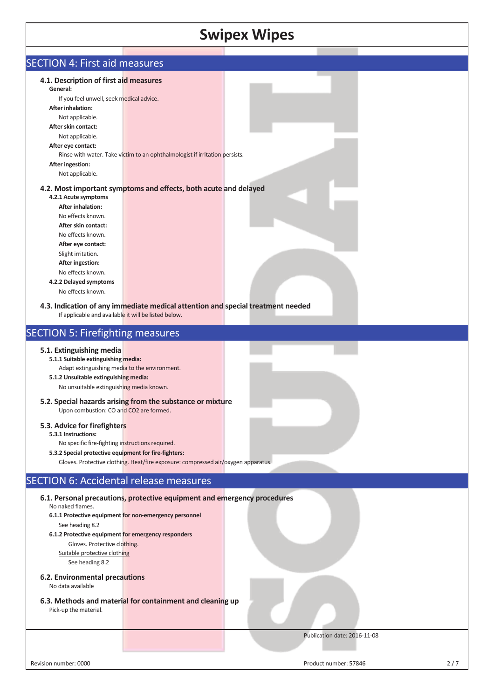| <b>Swipex Wipes</b>                                                                    |                                                                                   |                              |     |  |  |
|----------------------------------------------------------------------------------------|-----------------------------------------------------------------------------------|------------------------------|-----|--|--|
| <b>SECTION 4: First aid measures</b>                                                   |                                                                                   |                              |     |  |  |
|                                                                                        |                                                                                   |                              |     |  |  |
| 4.1. Description of first aid measures                                                 |                                                                                   |                              |     |  |  |
| General:                                                                               |                                                                                   |                              |     |  |  |
| If you feel unwell, seek medical advice.                                               |                                                                                   |                              |     |  |  |
| <b>After inhalation:</b><br>Not applicable.                                            |                                                                                   |                              |     |  |  |
| After skin contact:                                                                    |                                                                                   |                              |     |  |  |
| Not applicable.                                                                        |                                                                                   |                              |     |  |  |
| After eye contact:                                                                     |                                                                                   |                              |     |  |  |
|                                                                                        | Rinse with water. Take victim to an ophthalmologist if irritation persists.       |                              |     |  |  |
| After ingestion:                                                                       |                                                                                   |                              |     |  |  |
| Not applicable.                                                                        |                                                                                   |                              |     |  |  |
| 4.2.1 Acute symptoms                                                                   | 4.2. Most important symptoms and effects, both acute and delayed                  |                              |     |  |  |
| <b>After inhalation:</b>                                                               |                                                                                   |                              |     |  |  |
| No effects known.                                                                      |                                                                                   |                              |     |  |  |
| After skin contact:                                                                    |                                                                                   |                              |     |  |  |
| No effects known.                                                                      |                                                                                   |                              |     |  |  |
| After eye contact:                                                                     |                                                                                   |                              |     |  |  |
| Slight irritation.                                                                     |                                                                                   |                              |     |  |  |
| <b>After ingestion:</b>                                                                |                                                                                   |                              |     |  |  |
| No effects known.                                                                      |                                                                                   |                              |     |  |  |
| 4.2.2 Delayed symptoms                                                                 |                                                                                   |                              |     |  |  |
| No effects known.                                                                      |                                                                                   |                              |     |  |  |
| If applicable and available it will be listed below.                                   | 4.3. Indication of any immediate medical attention and special treatment needed   |                              |     |  |  |
| <b>SECTION 5: Firefighting measures</b>                                                |                                                                                   |                              |     |  |  |
| 5.1. Extinguishing media                                                               |                                                                                   |                              |     |  |  |
| 5.1.1 Suitable extinguishing media:                                                    |                                                                                   |                              |     |  |  |
| Adapt extinguishing media to the environment.<br>5.1.2 Unsuitable extinguishing media: |                                                                                   |                              |     |  |  |
| No unsuitable extinguishing media known.                                               |                                                                                   |                              |     |  |  |
|                                                                                        |                                                                                   |                              |     |  |  |
| Upon combustion: CO and CO2 are formed.                                                | 5.2. Special hazards arising from the substance or mixture                        |                              |     |  |  |
| 5.3. Advice for firefighters                                                           |                                                                                   |                              |     |  |  |
| 5.3.1 Instructions:                                                                    |                                                                                   |                              |     |  |  |
| No specific fire-fighting instructions required.                                       |                                                                                   |                              |     |  |  |
| 5.3.2 Special protective equipment for fire-fighters:                                  |                                                                                   |                              |     |  |  |
|                                                                                        | Gloves. Protective clothing. Heat/fire exposure: compressed air/oxygen apparatus. |                              |     |  |  |
| <b>SECTION 6: Accidental release measures</b>                                          |                                                                                   |                              |     |  |  |
|                                                                                        |                                                                                   |                              |     |  |  |
| No naked flames.                                                                       | 6.1. Personal precautions, protective equipment and emergency procedures          |                              |     |  |  |
|                                                                                        | 6.1.1 Protective equipment for non-emergency personnel                            |                              |     |  |  |
| See heading 8.2<br>6.1.2 Protective equipment for emergency responders                 |                                                                                   |                              |     |  |  |
| Gloves. Protective clothing.                                                           |                                                                                   |                              |     |  |  |
| Suitable protective clothing                                                           |                                                                                   |                              |     |  |  |
| See heading 8.2                                                                        |                                                                                   |                              |     |  |  |
|                                                                                        |                                                                                   |                              |     |  |  |
| 6.2. Environmental precautions<br>No data available                                    |                                                                                   |                              |     |  |  |
| Pick-up the material.                                                                  | 6.3. Methods and material for containment and cleaning up                         |                              |     |  |  |
|                                                                                        |                                                                                   |                              |     |  |  |
|                                                                                        |                                                                                   | Publication date: 2016-11-08 |     |  |  |
| Revision number: 0000                                                                  |                                                                                   | Product number: 57846        | 2/7 |  |  |

 $\overline{1}$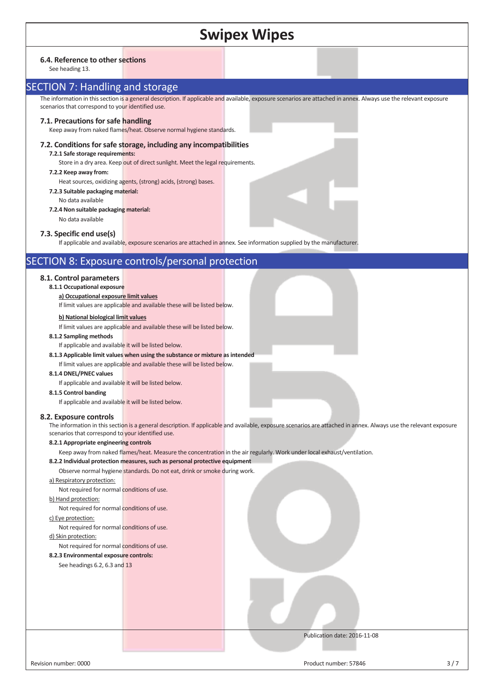| <b>Swipex Wipes</b> |  |
|---------------------|--|
|---------------------|--|

#### **6.4. Reference to other sections**

See heading 13.

# SECTION 7: Handling and storage

The information in this section is a general description. If applicable and available, exposure scenarios are attached in annex. Always use the relevant exposure scenarios that correspond to your identified use.

#### **7.1. Precautions for safe handling**

Keep away from naked flames/heat. Observe normal hygiene standards.

#### **7.2. Conditions for safe storage, including any incompatibilities 7.2.1 Safe storage requirements:**

Store in a dry area. Keep out of direct sunlight. Meet the legal requirements.

#### **7.2.2 Keep away from:**

Heat sources, oxidizing agents, (strong) acids, (strong) bases.

- **7.2.3 Suitable packaging material:**
- No data available
- **7.2.4 Non suitable packaging material:** No data available

# **7.3. Specific end use(s)**

If applicable and available, exposure scenarios are attached in annex. See information supplied by the manufacturer.

# SECTION 8: Exposure controls/personal protection

# **8.1. Control parameters**

#### **8.1.1 Occupational exposure**

## **a) Occupational exposure limit values**

If limit values are applicable and available these will be listed below.

## **b) National biological limit values**

If limit values are applicable and available these will be listed below.

#### **8.1.2 Sampling methods**

If applicable and available it will be listed below.

- **8.1.3 Applicable limit values when using the substance or mixture as intended**
- If limit values are applicable and available these will be listed below.

#### **8.1.4 DNEL/PNEC values**

If applicable and available it will be listed below.

#### **8.1.5 Control banding**

If applicable and available it will be listed below.

#### **8.2. Exposure controls**

The information in this section is a general description. If applicable and available, exposure scenarios are attached in annex. Always use the relevant exposure scenarios that correspond to your identified use.

#### **8.2.1 Appropriate engineering controls**

Keep away from naked flames/heat. Measure the concentration in the air regularly. Work under local exhaust/ventilation.

#### **8.2.2 Individual protection measures, such as personal protective equipment**

Observe normal hygiene standards. Do not eat, drink or smoke during work.

#### a) Respiratory protection:

Not required for normal conditions of use.

#### b) Hand protection:

Not required for normal conditions of use.

# c) Eye protection:

Not required for normal conditions of use.

## d) Skin protection:

Not required for normal conditions of use.

## **8.2.3 Environmental exposure controls:**

See headings 6.2, 6.3 and 13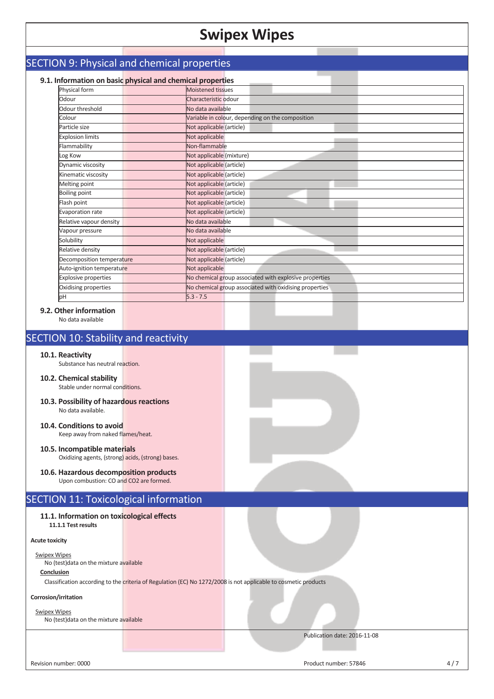# SECTION 9: Physical and chemical properties

| Physical form               | <b>Moistened tissues</b>                               |
|-----------------------------|--------------------------------------------------------|
| Odour                       | Characteristic odour                                   |
| Odour threshold             | No data available                                      |
| Colour                      | Variable in colour, depending on the composition       |
| Particle size               | Not applicable (article)                               |
| <b>Explosion limits</b>     | Not applicable                                         |
| Flammability                | Non-flammable                                          |
| Log Kow                     | Not applicable (mixture)                               |
| Dynamic viscosity           | Not applicable (article)                               |
| Kinematic viscosity         | Not applicable (article)                               |
| Melting point               | Not applicable (article)                               |
| <b>Boiling point</b>        | Not applicable (article)                               |
| Flash point                 | Not applicable (article)                               |
| Evaporation rate            | Not applicable (article)                               |
| Relative vapour density     | No data available                                      |
| Vapour pressure             | No data available                                      |
| Solubility                  | Not applicable                                         |
| Relative density            | Not applicable (article)                               |
| Decomposition temperature   | Not applicable (article)                               |
| Auto-ignition temperature   | Not applicable                                         |
| <b>Explosive properties</b> | No chemical group associated with explosive properties |
| Oxidising properties        | No chemical group associated with oxidising properties |
| pН                          | $5.3 - 7.5$                                            |

# **9.2. Other information**

No data available

# SECTION 10: Stability and reactivity

**10.1. Reactivity**

Substance has neutral reaction.

- **10.2. Chemical stability** Stable under normal conditions.
- **10.3. Possibility of hazardous reactions**  No data available.
- **10.4. Conditions to avoid**  Keep away from naked flames/heat.
- **10.5. Incompatible materials**  Oxidizing agents, (strong) acids, (strong) bases.
- **10.6. Hazardous decomposition products**  Upon combustion: CO and CO2 are formed.

# SECTION 11: Toxicological information

**11.1. Information on toxicological effects 11.1.1 Test results** 

### **Acute toxicity**

Swipex Wipes No (test)data on the mixture available

#### **Conclusion**

Classification according to the criteria of Regulation (EC) No 1272/2008 is not applicable to cosmetic products

#### **Corrosion/irritation**

Swipex Wipes

No (test)data on the mixture available

Revision number: 0000 Product number: 57846 4 / 7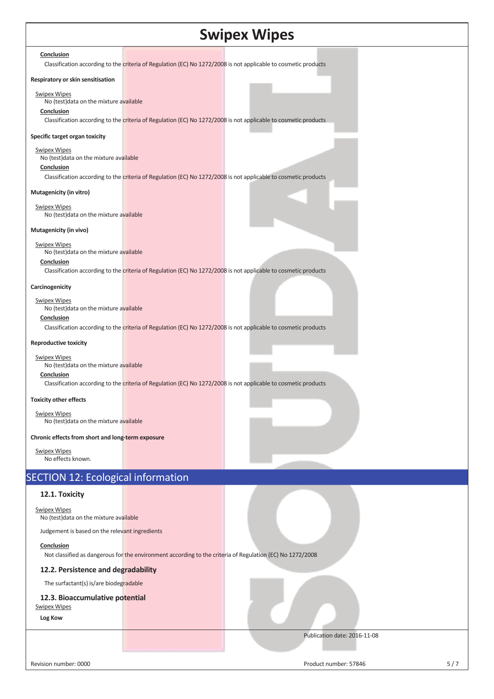#### **Conclusion**

Classification according to the criteria of Regulation (EC) No 1272/2008 is not applicable to cosmetic products

#### **Respiratory or skin sensitisation**

#### Swipex Wipes

#### No (test)data on the mixture available

#### **Conclusion**

Classification according to the criteria of Regulation (EC) No 1272/2008 is not applicable to cosmetic products

#### **Specific target organ toxicity**

#### Swipex Wipes

No (test)data on the mixture available

## **Conclusion**

Classification according to the criteria of Regulation (EC) No 1272/2008 is not applicable to cosmetic products

#### **Mutagenicity (in vitro)**

Swipex Wipes No (test)data on the mixture available

## **Mutagenicity (in vivo)**

Swipex Wipes No (test)data on the mixture available

## **Conclusion**

Classification according to the criteria of Regulation (EC) No 1272/2008 is not applicable to cosmetic products

#### **Carcinogenicity**

#### Swipex Wipes

No (test)data on the mixture available

# **Conclusion**

Classification according to the criteria of Regulation (EC) No 1272/2008 is not applicable to cosmetic products

#### **Reproductive toxicity**

#### Swipex Wipes

No (test)data on the mixture available

## **Conclusion**

Classification according to the criteria of Regulation (EC) No 1272/2008 is not applicable to cosmetic products

#### **Toxicity other effects**

Swipex Wipes No (test)data on the mixture available

#### **Chronic effects from short and long-term exposure**

Swipex Wipes No effects known.

# SECTION 12: Ecological information

# **12.1. Toxicity**

## Swipex Wipes

No (test)data on the mixture available

Judgement is based on the relevant ingredients

## **Conclusion**

Not classified as dangerous for the environment according to the criteria of Regulation (EC) No 1272/2008

## **12.2. Persistence and degradability**

The surfactant(s) is/are biodegradable

## **12.3. Bioaccumulative potential**

Swipex Wipes

**Log Kow** 

Revision number: 0000 Superintent of the state of the state of the Product number: 57846 Superintent of the state of the state of the state of the state of the state of the state of the state of the state of the state of t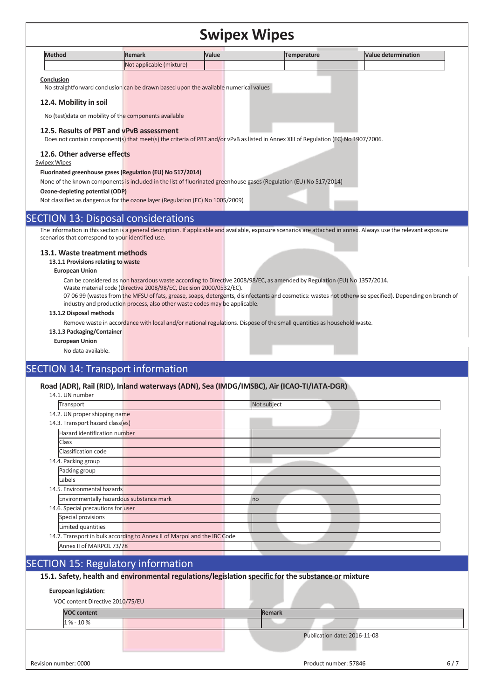| <b>Method</b> | <b>Remark</b>            | <b>Value</b> | Temperature | <b>Nalue determination</b> |
|---------------|--------------------------|--------------|-------------|----------------------------|
|               | Not applicable (mixture) |              |             |                            |

#### **Conclusion**

No straightforward conclusion can be drawn based upon the available numerical values

#### **12.4. Mobility in soil**

No (test)data on mobility of the components available

#### **12.5. Results of PBT and vPvB assessment**

Does not contain component(s) that meet(s) the criteria of PBT and/or vPvB as listed in Annex XIII of Regulation (EC) No 1907/2006.

#### **12.6. Other adverse effects**

### Swipex Wipes

#### **Fluorinated greenhouse gases (Regulation (EU) No 517/2014)**

None of the known components is included in the list of fluorinated greenhouse gases (Regulation (EU) No 517/2014)

#### **Ozone-depleting potential (ODP)**

Not classified as dangerous for the ozone layer (Regulation (EC) No 1005/2009)

## SECTION 13: Disposal considerations

The information in this section is a general description. If applicable and available, exposure scenarios are attached in annex. Always use the relevant exposure scenarios that correspond to your identified use.

#### **13.1. Waste treatment methods**

**13.1.1 Provisions relating to waste** 

#### **European Union**

Can be considered as non hazardous waste according to Directive 2008/98/EC, as amended by Regulation (EU) No 1357/2014.

Waste material code (Directive 2008/98/EC, Decision 2000/0532/EC).

07 06 99 (wastes from the MFSU of fats, grease, soaps, detergents, disinfectants and cosmetics: wastes not otherwise specified). Depending on branch of industry and production process, also other waste codes may be applicable.

#### **13.1.2 Disposal methods**

Remove waste in accordance with local and/or national regulations. Dispose of the small quantities as household waste.

**13.1.3 Packaging/Container**

#### **European Union**

No data available.

# SECTION 14: Transport information

## **Road (ADR), Rail (RID), Inland waterways (ADN), Sea (IMDG/IMSBC), Air (ICAO-TI/IATA-DGR)**

| 14.1. UN number                          |                                                                          |             |
|------------------------------------------|--------------------------------------------------------------------------|-------------|
| Transport                                |                                                                          | Not subject |
| 14.2. UN proper shipping name            |                                                                          |             |
| 14.3. Transport hazard class(es)         |                                                                          |             |
| Hazard identification number             |                                                                          |             |
| Class                                    |                                                                          |             |
| Classification code                      |                                                                          |             |
| 14.4. Packing group                      |                                                                          |             |
| Packing group                            |                                                                          |             |
| Labels                                   |                                                                          |             |
| 14.5. Environmental hazards              |                                                                          |             |
| Environmentally hazardous substance mark |                                                                          | no          |
| 14.6. Special precautions for user       |                                                                          |             |
| Special provisions                       |                                                                          |             |
| Limited quantities                       |                                                                          |             |
|                                          | 14.7. Transport in bulk according to Annex II of Marpol and the IBC Code |             |
| Annex II of MARPOL 73/78                 |                                                                          |             |

# SECTION 15: Regulatory information

**15.1. Safety, health and environmental regulations/legislation specific for the substance or mixture**

#### **European legislation:**

VOC content Directive 2010/75/EU

**VOC content** Remark  $\frac{9}{6}$  - 10 %